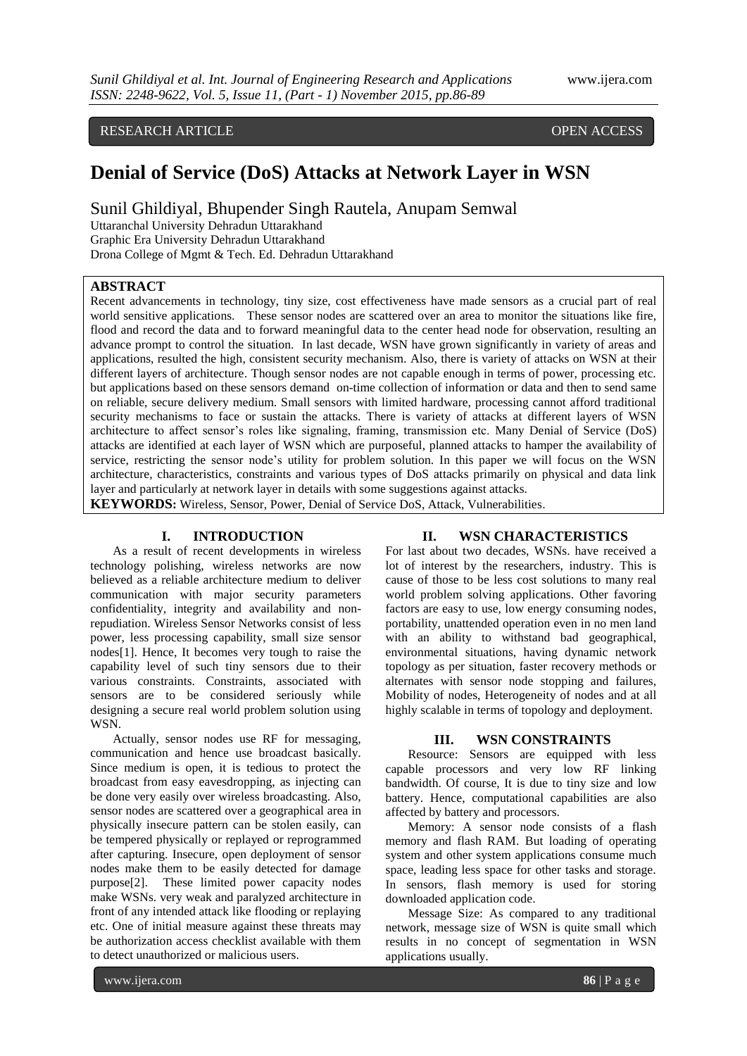# RESEARCH ARTICLE OPEN ACCESS

# **Denial of Service (DoS) Attacks at Network Layer in WSN**

Sunil Ghildiyal, Bhupender Singh Rautela, Anupam Semwal

Uttaranchal University Dehradun Uttarakhand Graphic Era University Dehradun Uttarakhand Drona College of Mgmt & Tech. Ed. Dehradun Uttarakhand

### **ABSTRACT**

Recent advancements in technology, tiny size, cost effectiveness have made sensors as a crucial part of real world sensitive applications. These sensor nodes are scattered over an area to monitor the situations like fire, flood and record the data and to forward meaningful data to the center head node for observation, resulting an advance prompt to control the situation. In last decade, WSN have grown significantly in variety of areas and applications, resulted the high, consistent security mechanism. Also, there is variety of attacks on WSN at their different layers of architecture. Though sensor nodes are not capable enough in terms of power, processing etc. but applications based on these sensors demand on-time collection of information or data and then to send same on reliable, secure delivery medium. Small sensors with limited hardware, processing cannot afford traditional security mechanisms to face or sustain the attacks. There is variety of attacks at different layers of WSN architecture to affect sensor's roles like signaling, framing, transmission etc. Many Denial of Service (DoS) attacks are identified at each layer of WSN which are purposeful, planned attacks to hamper the availability of service, restricting the sensor node's utility for problem solution. In this paper we will focus on the WSN architecture, characteristics, constraints and various types of DoS attacks primarily on physical and data link layer and particularly at network layer in details with some suggestions against attacks.

**KEYWORDS:** Wireless, Sensor, Power, Denial of Service DoS, Attack, Vulnerabilities.

### **I. INTRODUCTION**

As a result of recent developments in wireless technology polishing, wireless networks are now believed as a reliable architecture medium to deliver communication with major security parameters confidentiality, integrity and availability and nonrepudiation. Wireless Sensor Networks consist of less power, less processing capability, small size sensor nodes[1]. Hence, It becomes very tough to raise the capability level of such tiny sensors due to their various constraints. Constraints, associated with sensors are to be considered seriously while designing a secure real world problem solution using WSN.

Actually, sensor nodes use RF for messaging, communication and hence use broadcast basically. Since medium is open, it is tedious to protect the broadcast from easy eavesdropping, as injecting can be done very easily over wireless broadcasting. Also, sensor nodes are scattered over a geographical area in physically insecure pattern can be stolen easily, can be tempered physically or replayed or reprogrammed after capturing. Insecure, open deployment of sensor nodes make them to be easily detected for damage purpose[2]. These limited power capacity nodes make WSNs. very weak and paralyzed architecture in front of any intended attack like flooding or replaying etc. One of initial measure against these threats may be authorization access checklist available with them to detect unauthorized or malicious users.

### **II. WSN CHARACTERISTICS**

For last about two decades, WSNs. have received a lot of interest by the researchers, industry. This is cause of those to be less cost solutions to many real world problem solving applications. Other favoring factors are easy to use, low energy consuming nodes, portability, unattended operation even in no men land with an ability to withstand bad geographical, environmental situations, having dynamic network topology as per situation, faster recovery methods or alternates with sensor node stopping and failures, Mobility of nodes, Heterogeneity of nodes and at all highly scalable in terms of topology and deployment.

### **III. WSN CONSTRAINTS**

Resource: Sensors are equipped with less capable processors and very low RF linking bandwidth. Of course, It is due to tiny size and low battery. Hence, computational capabilities are also affected by battery and processors.

Memory: A sensor node consists of a flash memory and flash RAM. But loading of operating system and other system applications consume much space, leading less space for other tasks and storage. In sensors, flash memory is used for storing downloaded application code.

Message Size: As compared to any traditional network, message size of WSN is quite small which results in no concept of segmentation in WSN applications usually.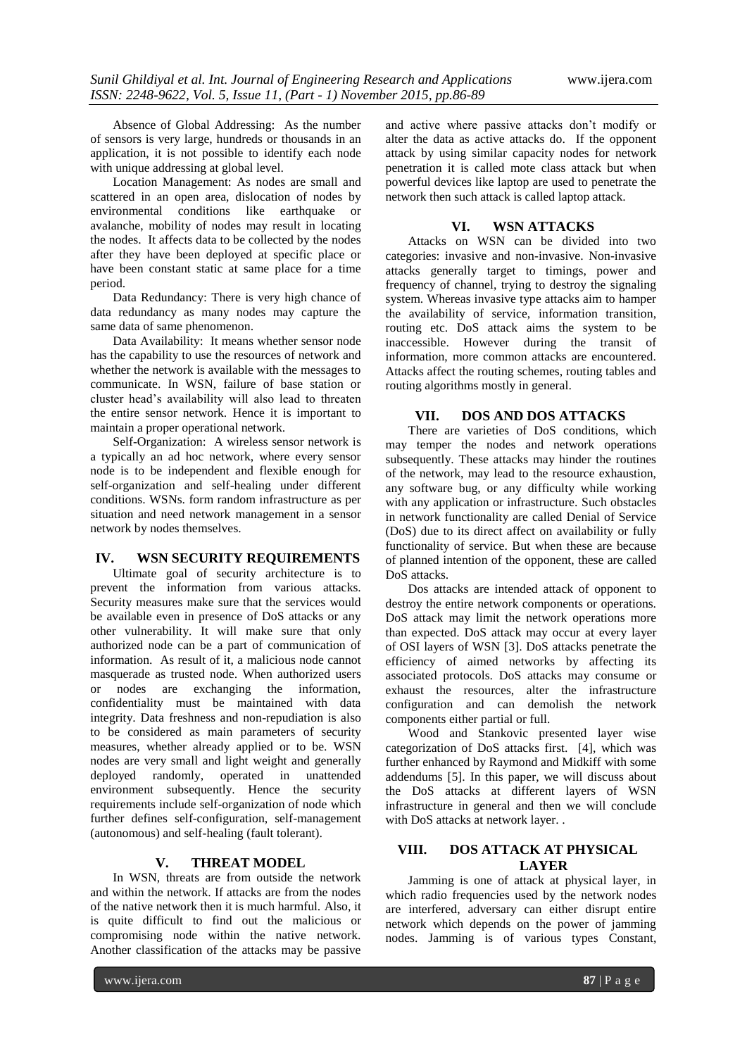Absence of Global Addressing: As the number of sensors is very large, hundreds or thousands in an application, it is not possible to identify each node with unique addressing at global level.

Location Management: As nodes are small and scattered in an open area, dislocation of nodes by environmental conditions like earthquake or avalanche, mobility of nodes may result in locating the nodes. It affects data to be collected by the nodes after they have been deployed at specific place or have been constant static at same place for a time period.

Data Redundancy: There is very high chance of data redundancy as many nodes may capture the same data of same phenomenon.

Data Availability: It means whether sensor node has the capability to use the resources of network and whether the network is available with the messages to communicate. In WSN, failure of base station or cluster head"s availability will also lead to threaten the entire sensor network. Hence it is important to maintain a proper operational network.

Self-Organization: A wireless sensor network is a typically an ad hoc network, where every sensor node is to be independent and flexible enough for self-organization and self-healing under different conditions. WSNs. form random infrastructure as per situation and need network management in a sensor network by nodes themselves.

### **IV. WSN SECURITY REQUIREMENTS**

Ultimate goal of security architecture is to prevent the information from various attacks. Security measures make sure that the services would be available even in presence of DoS attacks or any other vulnerability. It will make sure that only authorized node can be a part of communication of information. As result of it, a malicious node cannot masquerade as trusted node. When authorized users or nodes are exchanging the information, confidentiality must be maintained with data integrity. Data freshness and non-repudiation is also to be considered as main parameters of security measures, whether already applied or to be. WSN nodes are very small and light weight and generally deployed randomly, operated in unattended environment subsequently. Hence the security requirements include self-organization of node which further defines self-configuration, self-management (autonomous) and self-healing (fault tolerant).

### **V. THREAT MODEL**

In WSN, threats are from outside the network and within the network. If attacks are from the nodes of the native network then it is much harmful. Also, it is quite difficult to find out the malicious or compromising node within the native network. Another classification of the attacks may be passive

and active where passive attacks don"t modify or alter the data as active attacks do. If the opponent attack by using similar capacity nodes for network penetration it is called mote class attack but when powerful devices like laptop are used to penetrate the network then such attack is called laptop attack.

### **VI. WSN ATTACKS**

Attacks on WSN can be divided into two categories: invasive and non-invasive. Non-invasive attacks generally target to timings, power and frequency of channel, trying to destroy the signaling system. Whereas invasive type attacks aim to hamper the availability of service, information transition, routing etc. DoS attack aims the system to be inaccessible. However during the transit of information, more common attacks are encountered. Attacks affect the routing schemes, routing tables and routing algorithms mostly in general.

### **VII. DOS AND DOS ATTACKS**

There are varieties of DoS conditions, which may temper the nodes and network operations subsequently. These attacks may hinder the routines of the network, may lead to the resource exhaustion, any software bug, or any difficulty while working with any application or infrastructure. Such obstacles in network functionality are called Denial of Service (DoS) due to its direct affect on availability or fully functionality of service. But when these are because of planned intention of the opponent, these are called DoS attacks.

Dos attacks are intended attack of opponent to destroy the entire network components or operations. DoS attack may limit the network operations more than expected. DoS attack may occur at every layer of OSI layers of WSN [3]. DoS attacks penetrate the efficiency of aimed networks by affecting its associated protocols. DoS attacks may consume or exhaust the resources, alter the infrastructure configuration and can demolish the network components either partial or full.

Wood and Stankovic presented layer wise categorization of DoS attacks first. [4], which was further enhanced by Raymond and Midkiff with some addendums [5]. In this paper, we will discuss about the DoS attacks at different layers of WSN infrastructure in general and then we will conclude with DoS attacks at network layer...

## **VIII. DOS ATTACK AT PHYSICAL LAYER**

Jamming is one of attack at physical layer, in which radio frequencies used by the network nodes are interfered, adversary can either disrupt entire network which depends on the power of jamming nodes. Jamming is of various types Constant,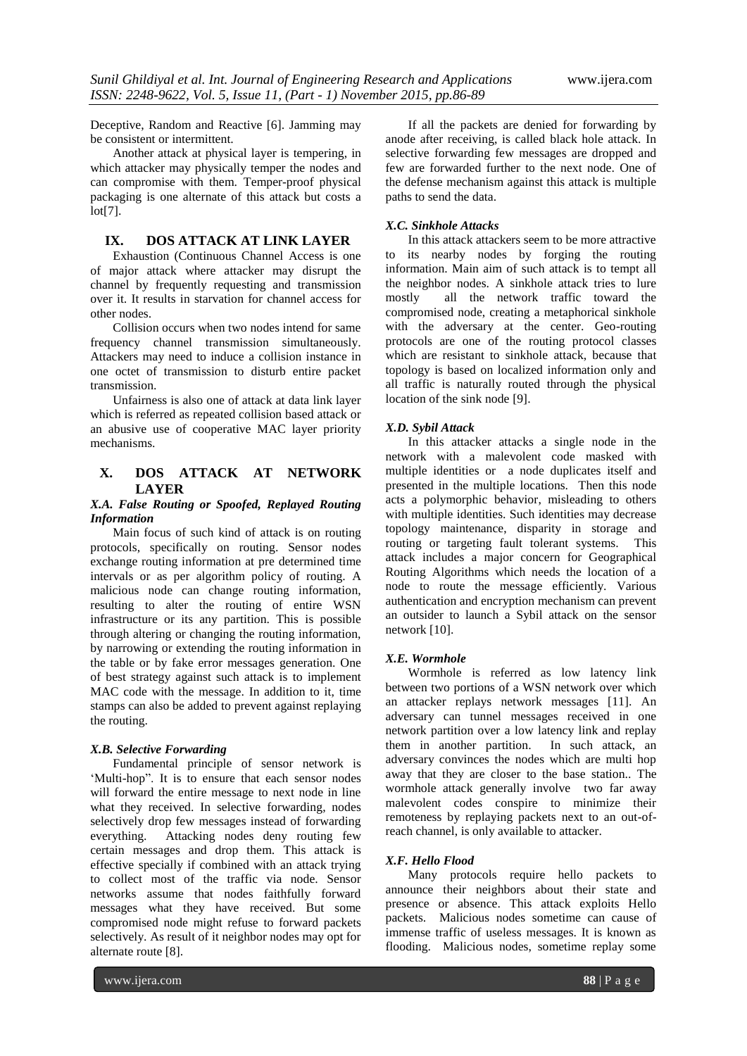Deceptive, Random and Reactive [6]. Jamming may be consistent or intermittent.

Another attack at physical layer is tempering, in which attacker may physically temper the nodes and can compromise with them. Temper-proof physical packaging is one alternate of this attack but costs a lot[7].

### **IX. DOS ATTACK AT LINK LAYER**

Exhaustion (Continuous Channel Access is one of major attack where attacker may disrupt the channel by frequently requesting and transmission over it. It results in starvation for channel access for other nodes.

Collision occurs when two nodes intend for same frequency channel transmission simultaneously. Attackers may need to induce a collision instance in one octet of transmission to disturb entire packet transmission.

Unfairness is also one of attack at data link layer which is referred as repeated collision based attack or an abusive use of cooperative MAC layer priority mechanisms.

### **X. DOS ATTACK AT NETWORK LAYER**

### *X.A. False Routing or Spoofed, Replayed Routing Information*

Main focus of such kind of attack is on routing protocols, specifically on routing. Sensor nodes exchange routing information at pre determined time intervals or as per algorithm policy of routing. A malicious node can change routing information, resulting to alter the routing of entire WSN infrastructure or its any partition. This is possible through altering or changing the routing information, by narrowing or extending the routing information in the table or by fake error messages generation. One of best strategy against such attack is to implement MAC code with the message. In addition to it, time stamps can also be added to prevent against replaying the routing.

### *X.B. Selective Forwarding*

Fundamental principle of sensor network is 'Multi-hop". It is to ensure that each sensor nodes will forward the entire message to next node in line what they received. In selective forwarding, nodes selectively drop few messages instead of forwarding everything. Attacking nodes deny routing few certain messages and drop them. This attack is effective specially if combined with an attack trying to collect most of the traffic via node. Sensor networks assume that nodes faithfully forward messages what they have received. But some compromised node might refuse to forward packets selectively. As result of it neighbor nodes may opt for alternate route [8].

If all the packets are denied for forwarding by anode after receiving, is called black hole attack. In selective forwarding few messages are dropped and few are forwarded further to the next node. One of the defense mechanism against this attack is multiple paths to send the data.

### *X.C. Sinkhole Attacks*

In this attack attackers seem to be more attractive to its nearby nodes by forging the routing information. Main aim of such attack is to tempt all the neighbor nodes. A sinkhole attack tries to lure mostly all the network traffic toward the compromised node, creating a metaphorical sinkhole with the adversary at the center. Geo-routing protocols are one of the routing protocol classes which are resistant to sinkhole attack, because that topology is based on localized information only and all traffic is naturally routed through the physical location of the sink node [9].

### *X.D. Sybil Attack*

In this attacker attacks a single node in the network with a malevolent code masked with multiple identities or a node duplicates itself and presented in the multiple locations. Then this node acts a polymorphic behavior, misleading to others with multiple identities. Such identities may decrease topology maintenance, disparity in storage and routing or targeting fault tolerant systems. This attack includes a major concern for Geographical Routing Algorithms which needs the location of a node to route the message efficiently. Various authentication and encryption mechanism can prevent an outsider to launch a Sybil attack on the sensor network [10].

#### *X.E. Wormhole*

Wormhole is referred as low latency link between two portions of a WSN network over which an attacker replays network messages [11]. An adversary can tunnel messages received in one network partition over a low latency link and replay them in another partition. In such attack, an adversary convinces the nodes which are multi hop away that they are closer to the base station.. The wormhole attack generally involve two far away malevolent codes conspire to minimize their remoteness by replaying packets next to an out-ofreach channel, is only available to attacker.

#### *X.F. Hello Flood*

Many protocols require hello packets to announce their neighbors about their state and presence or absence. This attack exploits Hello packets. Malicious nodes sometime can cause of immense traffic of useless messages. It is known as flooding. Malicious nodes, sometime replay some